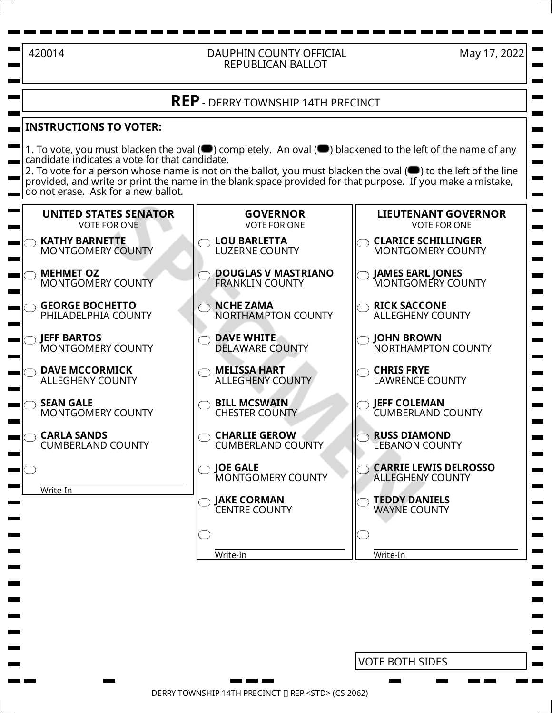## 420014 DAUPHIN COUNTY OFFICIAL REPUBLICAN BALLOT

May 17, 2022

## **REP**- DERRY TOWNSHIP 14TH PRECINCT

## **INSTRUCTIONS TO VOTER:**

1. To vote, you must blacken the oval (C) completely. An oval (C) blackened to the left of the name of any candidate indicates a vote for that candidate.

2. To vote for a person whose name is not on the ballot, you must blacken the oval  $(\blacksquare)$  to the left of the line provided, and write or print the name in the blank space provided for that purpose. If you make a mistake, do not erase. Ask for a new ballot.



VOTE BOTH SIDES